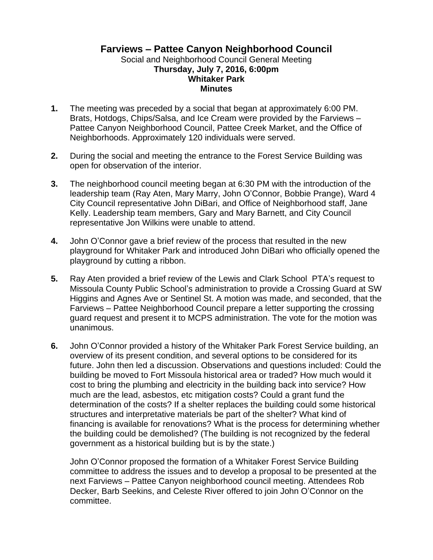## **Farviews – Pattee Canyon Neighborhood Council** Social and Neighborhood Council General Meeting **Thursday, July 7, 2016, 6:00pm Whitaker Park Minutes**

- **1.** The meeting was preceded by a social that began at approximately 6:00 PM. Brats, Hotdogs, Chips/Salsa, and Ice Cream were provided by the Farviews – Pattee Canyon Neighborhood Council, Pattee Creek Market, and the Office of Neighborhoods. Approximately 120 individuals were served.
- **2.** During the social and meeting the entrance to the Forest Service Building was open for observation of the interior.
- **3.** The neighborhood council meeting began at 6:30 PM with the introduction of the leadership team (Ray Aten, Mary Marry, John O'Connor, Bobbie Prange), Ward 4 City Council representative John DiBari, and Office of Neighborhood staff, Jane Kelly. Leadership team members, Gary and Mary Barnett, and City Council representative Jon Wilkins were unable to attend.
- **4.** John O'Connor gave a brief review of the process that resulted in the new playground for Whitaker Park and introduced John DiBari who officially opened the playground by cutting a ribbon.
- **5.** Ray Aten provided a brief review of the Lewis and Clark School PTA's request to Missoula County Public School's administration to provide a Crossing Guard at SW Higgins and Agnes Ave or Sentinel St. A motion was made, and seconded, that the Farviews – Pattee Neighborhood Council prepare a letter supporting the crossing guard request and present it to MCPS administration. The vote for the motion was unanimous.
- **6.** John O'Connor provided a history of the Whitaker Park Forest Service building, an overview of its present condition, and several options to be considered for its future. John then led a discussion. Observations and questions included: Could the building be moved to Fort Missoula historical area or traded? How much would it cost to bring the plumbing and electricity in the building back into service? How much are the lead, asbestos, etc mitigation costs? Could a grant fund the determination of the costs? If a shelter replaces the building could some historical structures and interpretative materials be part of the shelter? What kind of financing is available for renovations? What is the process for determining whether the building could be demolished? (The building is not recognized by the federal government as a historical building but is by the state.)

John O'Connor proposed the formation of a Whitaker Forest Service Building committee to address the issues and to develop a proposal to be presented at the next Farviews – Pattee Canyon neighborhood council meeting. Attendees Rob Decker, Barb Seekins, and Celeste River offered to join John O'Connor on the committee.